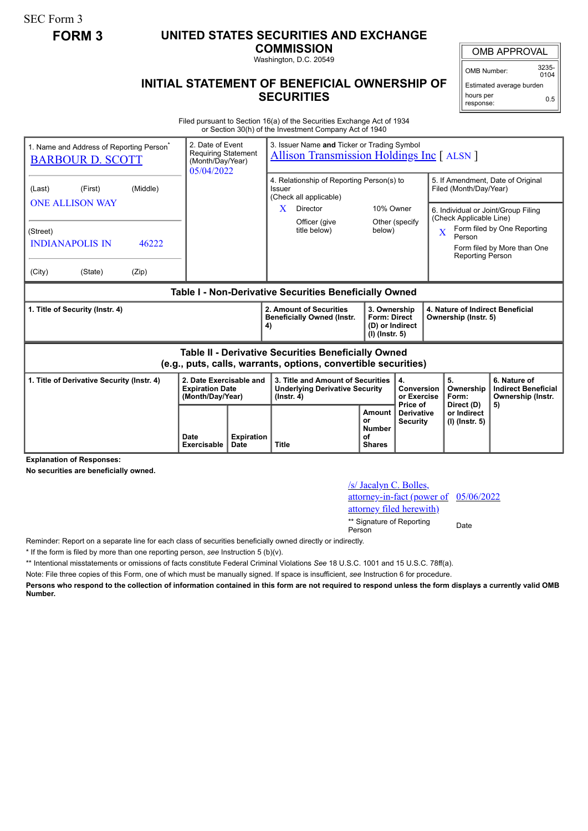SEC Form 3

## **FORM 3 UNITED STATES SECURITIES AND EXCHANGE**

**COMMISSION** Washington, D.C. 20549

## **INITIAL STATEMENT OF BENEFICIAL OWNERSHIP OF SECURITIES**

OMB APPROVAL

OMB Number: 3235-  $0104$ 

Estimated average burden hours per response: 0.5

Filed pursuant to Section 16(a) of the Securities Exchange Act of 1934 or Section 30(h) of the Investment Company Act of 1940

| 1. Name and Address of Reporting Person <sup>®</sup><br><b>BARBOUR D. SCOTT</b>                                              |  |                            | 2. Date of Event<br>3. Issuer Name and Ticker or Trading Symbol<br><b>Requiring Statement</b><br><b>Allison Transmission Holdings Inc [ ALSN ]</b><br>(Month/Day/Year)<br>05/04/2022 |                           |                                                                                                |                                                                                                                  |                                                                          |                                             |                         |                                                                                        |                                                                                                                                        |
|------------------------------------------------------------------------------------------------------------------------------|--|----------------------------|--------------------------------------------------------------------------------------------------------------------------------------------------------------------------------------|---------------------------|------------------------------------------------------------------------------------------------|------------------------------------------------------------------------------------------------------------------|--------------------------------------------------------------------------|---------------------------------------------|-------------------------|----------------------------------------------------------------------------------------|----------------------------------------------------------------------------------------------------------------------------------------|
| (First)<br>(Last)<br><b>ONE ALLISON WAY</b><br>(Street)<br><b>INDIANAPOLIS IN</b><br>(City)<br>(State)                       |  | (Middle)<br>46222<br>(Zip) |                                                                                                                                                                                      |                           | Issuer<br>X                                                                                    | 4. Relationship of Reporting Person(s) to<br>(Check all applicable)<br>Director<br>Officer (give<br>title below) | 10% Owner<br>below)                                                      | Other (specify                              | $\overline{\mathbf{X}}$ | Filed (Month/Day/Year)<br>(Check Applicable Line)<br>Person<br><b>Reporting Person</b> | 5. If Amendment, Date of Original<br>6. Individual or Joint/Group Filing<br>Form filed by One Reporting<br>Form filed by More than One |
| Table I - Non-Derivative Securities Beneficially Owned                                                                       |  |                            |                                                                                                                                                                                      |                           |                                                                                                |                                                                                                                  |                                                                          |                                             |                         |                                                                                        |                                                                                                                                        |
| 1. Title of Security (Instr. 4)                                                                                              |  |                            |                                                                                                                                                                                      |                           | 2. Amount of Securities<br><b>Beneficially Owned (Instr.</b><br>4)                             |                                                                                                                  | 3. Ownership<br><b>Form: Direct</b><br>(D) or Indirect<br>(I) (Instr. 5) |                                             |                         | 4. Nature of Indirect Beneficial<br>Ownership (Instr. 5)                               |                                                                                                                                        |
| <b>Table II - Derivative Securities Beneficially Owned</b><br>(e.g., puts, calls, warrants, options, convertible securities) |  |                            |                                                                                                                                                                                      |                           |                                                                                                |                                                                                                                  |                                                                          |                                             |                         |                                                                                        |                                                                                                                                        |
| 1. Title of Derivative Security (Instr. 4)                                                                                   |  |                            | 2. Date Exercisable and<br><b>Expiration Date</b><br>(Month/Day/Year)                                                                                                                |                           | 3. Title and Amount of Securities<br><b>Underlying Derivative Security</b><br>$($ lnstr. 4 $)$ |                                                                                                                  |                                                                          | 4.<br>Conversion<br>or Exercise<br>Price of |                         | 5.<br>Ownership<br>Form:                                                               | 6. Nature of<br><b>Indirect Beneficial</b><br>Ownership (Instr.                                                                        |
|                                                                                                                              |  |                            | Date<br>Exercisable                                                                                                                                                                  | <b>Expiration</b><br>Date | <b>Title</b>                                                                                   |                                                                                                                  | Amount<br>or<br><b>Number</b><br>οf<br><b>Shares</b>                     | <b>Derivative</b><br><b>Security</b>        |                         | Direct (D)<br>or Indirect<br>(I) (Instr. 5)                                            | 5)                                                                                                                                     |

**Explanation of Responses:**

**No securities are beneficially owned.**

## /s/ Jacalyn C. Bolles, attorney-in-fact (power of attorney filed herewith) 05/06/2022

\*\* Signature of Reporting <sub>Date</sub><br>Person

Reminder: Report on a separate line for each class of securities beneficially owned directly or indirectly.

\* If the form is filed by more than one reporting person, *see* Instruction 5 (b)(v).

\*\* Intentional misstatements or omissions of facts constitute Federal Criminal Violations *See* 18 U.S.C. 1001 and 15 U.S.C. 78ff(a).

Note: File three copies of this Form, one of which must be manually signed. If space is insufficient, *see* Instruction 6 for procedure.

**Persons who respond to the collection of information contained in this form are not required to respond unless the form displays a currently valid OMB Number.**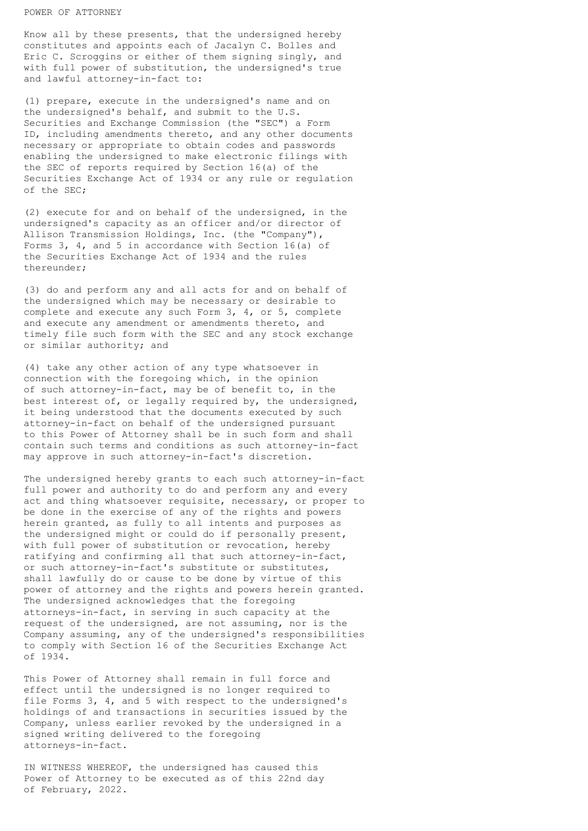## POWER OF ATTORNEY

Know all by these presents, that the undersigned hereby constitutes and appoints each of Jacalyn C. Bolles and Eric C. Scroggins or either of them signing singly, and with full power of substitution, the undersigned's true and lawful attorney-in-fact to:

(1) prepare, execute in the undersigned's name and on the undersigned's behalf, and submit to the U.S. Securities and Exchange Commission (the "SEC") a Form ID, including amendments thereto, and any other documents necessary or appropriate to obtain codes and passwords enabling the undersigned to make electronic filings with the SEC of reports required by Section 16(a) of the Securities Exchange Act of 1934 or any rule or regulation of the SEC;

(2) execute for and on behalf of the undersigned, in the undersigned's capacity as an officer and/or director of Allison Transmission Holdings, Inc. (the "Company"), Forms 3, 4, and 5 in accordance with Section 16(a) of the Securities Exchange Act of 1934 and the rules thereunder;

(3) do and perform any and all acts for and on behalf of the undersigned which may be necessary or desirable to complete and execute any such Form 3, 4, or 5, complete and execute any amendment or amendments thereto, and timely file such form with the SEC and any stock exchange or similar authority; and

(4) take any other action of any type whatsoever in connection with the foregoing which, in the opinion of such attorney-in-fact, may be of benefit to, in the best interest of, or legally required by, the undersigned, it being understood that the documents executed by such attorney-in-fact on behalf of the undersigned pursuant to this Power of Attorney shall be in such form and shall contain such terms and conditions as such attorney-in-fact may approve in such attorney-in-fact's discretion.

The undersigned hereby grants to each such attorney-in-fact full power and authority to do and perform any and every act and thing whatsoever requisite, necessary, or proper to be done in the exercise of any of the rights and powers herein granted, as fully to all intents and purposes as the undersigned might or could do if personally present, with full power of substitution or revocation, hereby ratifying and confirming all that such attorney-in-fact, or such attorney-in-fact's substitute or substitutes, shall lawfully do or cause to be done by virtue of this power of attorney and the rights and powers herein granted. The undersigned acknowledges that the foregoing attorneys-in-fact, in serving in such capacity at the request of the undersigned, are not assuming, nor is the Company assuming, any of the undersigned's responsibilities to comply with Section 16 of the Securities Exchange Act of 1934.

This Power of Attorney shall remain in full force and effect until the undersigned is no longer required to file Forms 3, 4, and 5 with respect to the undersigned's holdings of and transactions in securities issued by the Company, unless earlier revoked by the undersigned in a signed writing delivered to the foregoing attorneys-in-fact.

IN WITNESS WHEREOF, the undersigned has caused this Power of Attorney to be executed as of this 22nd day of February, 2022.